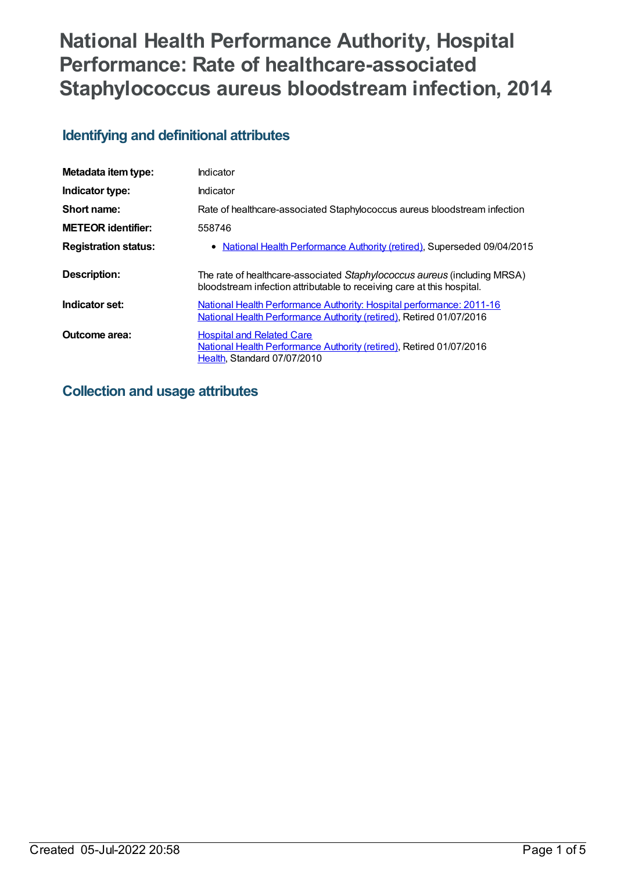# **National Health Performance Authority, Hospital Performance: Rate of healthcare-associated Staphylococcus aureus bloodstream infection, 2014**

# **Identifying and definitional attributes**

| Metadata item type:         | Indicator                                                                                                                                          |
|-----------------------------|----------------------------------------------------------------------------------------------------------------------------------------------------|
| Indicator type:             | Indicator                                                                                                                                          |
| Short name:                 | Rate of healthcare-associated Staphylococcus aureus bloodstream infection                                                                          |
| <b>METEOR identifier:</b>   | 558746                                                                                                                                             |
| <b>Registration status:</b> | National Health Performance Authority (retired), Superseded 09/04/2015                                                                             |
| Description:                | The rate of healthcare-associated Staphylococcus aureus (including MRSA)<br>bloodstream infection attributable to receiving care at this hospital. |
| Indicator set:              | <b>National Health Performance Authority: Hospital performance: 2011-16</b><br>National Health Performance Authority (retired), Retired 01/07/2016 |
| Outcome area:               | <b>Hospital and Related Care</b>                                                                                                                   |

### **Collection and usage attributes**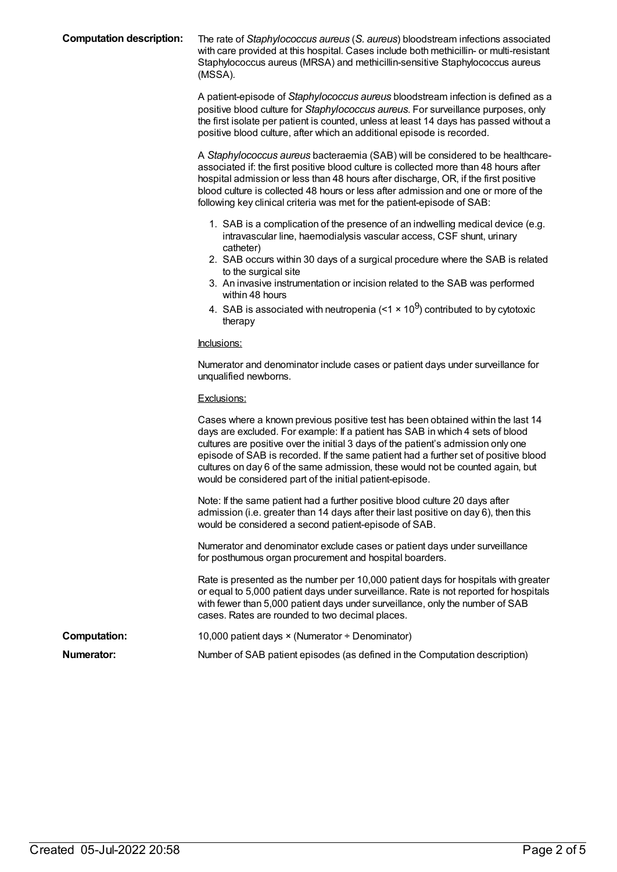**Computation description:** The rate of *Staphylococcus aureus* (*S. aureus*) bloodstream infections associated with care provided at this hospital. Cases include both methicillin- or multi-resistant Staphylococcus aureus (MRSA) and methicillin-sensitive Staphylococcus aureus (MSSA).

> A patient-episode of *Staphylococcus aureus* bloodstream infection is defined as a positive blood culture for *Staphylococcus aureus*. For surveillance purposes, only the first isolate per patient is counted, unless at least 14 days has passed without a positive blood culture, after which an additional episode is recorded.

> A *Staphylococcus aureus* bacteraemia (SAB) will be considered to be healthcareassociated if: the first positive blood culture is collected more than 48 hours after hospital admission or less than 48 hours after discharge, OR, if the first positive blood culture is collected 48 hours or less after admission and one or more of the following key clinical criteria was met for the patient-episode of SAB:

- 1. SAB is a complication of the presence of an indwelling medical device (e.g. intravascular line, haemodialysis vascular access, CSF shunt, urinary catheter)
- 2. SAB occurs within 30 days of a surgical procedure where the SAB is related to the surgical site
- 3. An invasive instrumentation or incision related to the SAB was performed within 48 hours
- 4. SAB is associated with neutropenia (<1  $\times$  10<sup>9</sup>) contributed to by cytotoxic therapy

#### Inclusions:

Numerator and denominator include cases or patient days under surveillance for unqualified newborns.

#### Exclusions:

|                     | Cases where a known previous positive test has been obtained within the last 14<br>days are excluded. For example: If a patient has SAB in which 4 sets of blood<br>cultures are positive over the initial 3 days of the patient's admission only one<br>episode of SAB is recorded. If the same patient had a further set of positive blood<br>cultures on day 6 of the same admission, these would not be counted again, but<br>would be considered part of the initial patient-episode. |
|---------------------|--------------------------------------------------------------------------------------------------------------------------------------------------------------------------------------------------------------------------------------------------------------------------------------------------------------------------------------------------------------------------------------------------------------------------------------------------------------------------------------------|
|                     | Note: If the same patient had a further positive blood culture 20 days after<br>admission (i.e. greater than 14 days after their last positive on day 6), then this<br>would be considered a second patient-episode of SAB.                                                                                                                                                                                                                                                                |
|                     | Numerator and denominator exclude cases or patient days under surveillance<br>for posthumous organ procurement and hospital boarders.                                                                                                                                                                                                                                                                                                                                                      |
|                     | Rate is presented as the number per 10,000 patient days for hospitals with greater<br>or equal to 5,000 patient days under surveillance. Rate is not reported for hospitals<br>with fewer than 5,000 patient days under surveillance, only the number of SAB<br>cases. Rates are rounded to two decimal places.                                                                                                                                                                            |
| <b>Computation:</b> | 10,000 patient days $\times$ (Numerator $\div$ Denominator)                                                                                                                                                                                                                                                                                                                                                                                                                                |
| Numerator:          | Number of SAB patient episodes (as defined in the Computation description)                                                                                                                                                                                                                                                                                                                                                                                                                 |
|                     |                                                                                                                                                                                                                                                                                                                                                                                                                                                                                            |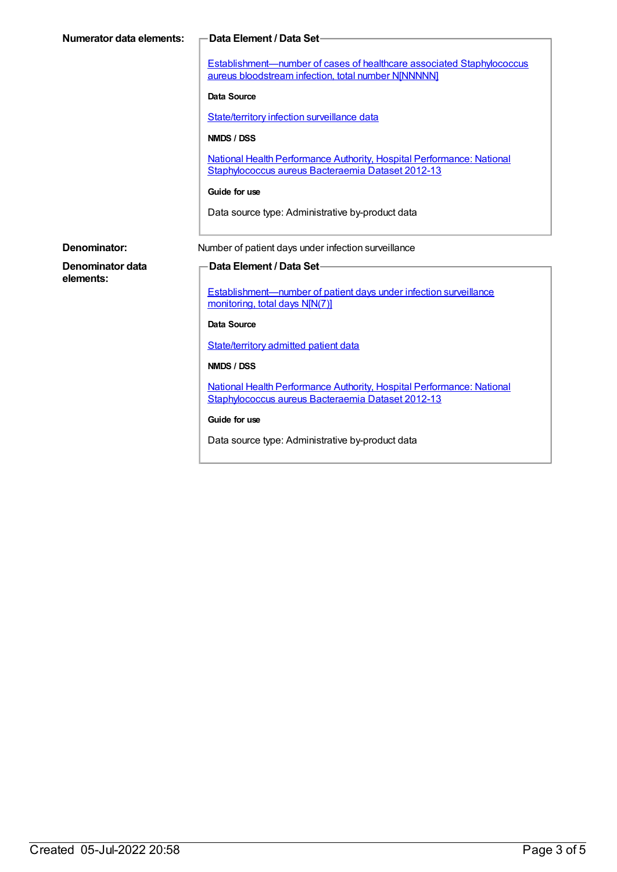| Numerator data elements:      | <b>Data Element / Data Set-</b>                                                                                              |
|-------------------------------|------------------------------------------------------------------------------------------------------------------------------|
|                               | Establishment-number of cases of healthcare associated Staphylococcus<br>aureus bloodstream infection, total number NJNNNNN] |
|                               | Data Source                                                                                                                  |
|                               | State/territory infection surveillance data                                                                                  |
|                               | NMDS / DSS                                                                                                                   |
|                               | National Health Performance Authority, Hospital Performance: National<br>Staphylococcus aureus Bacteraemia Dataset 2012-13   |
|                               | Guide for use                                                                                                                |
|                               | Data source type: Administrative by-product data                                                                             |
| Denominator:                  | Number of patient days under infection surveillance                                                                          |
| Denominator data<br>elements: | Data Element / Data Set                                                                                                      |
|                               | Establishment-number of patient days under infection surveillance<br>monitoring, total days N[N(7)]                          |
|                               | <b>Data Source</b>                                                                                                           |
|                               | State/territory admitted patient data                                                                                        |
|                               | NMDS / DSS                                                                                                                   |
|                               | National Health Performance Authority, Hospital Performance: National<br>Staphylococcus aureus Bacteraemia Dataset 2012-13   |
|                               | Guide for use                                                                                                                |
|                               | Data source type: Administrative by-product data                                                                             |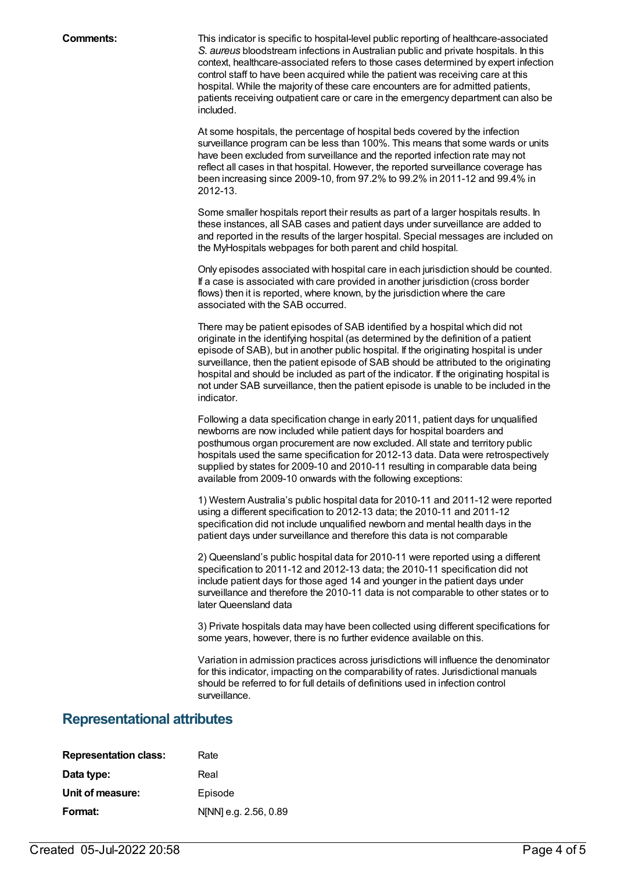**Comments:** This indicator is specific to hospital-level public reporting of healthcare-associated *S. aureus* bloodstream infections in Australian public and private hospitals. In this context, healthcare-associated refers to those cases determined by expert infection control staff to have been acquired while the patient was receiving care at this hospital. While the majority of these care encounters are for admitted patients, patients receiving outpatient care or care in the emergency department can also be included.

> At some hospitals, the percentage of hospital beds covered by the infection surveillance program can be less than 100%. This means that some wards or units have been excluded from surveillance and the reported infection rate may not reflect all cases in that hospital. However, the reported surveillance coverage has been increasing since 2009-10, from 97.2% to 99.2% in 2011-12 and 99.4% in 2012-13.

Some smaller hospitals report their results as part of a larger hospitals results. In these instances, all SAB cases and patient days under surveillance are added to and reported in the results of the larger hospital. Special messages are included on the MyHospitals webpages for both parent and child hospital.

Only episodes associated with hospital care in each jurisdiction should be counted. If a case is associated with care provided in another jurisdiction (cross border flows) then it is reported, where known, by the jurisdiction where the care associated with the SAB occurred.

There may be patient episodes of SAB identified by a hospital which did not originate in the identifying hospital (as determined by the definition of a patient episode of SAB), but in another public hospital. If the originating hospital is under surveillance, then the patient episode of SAB should be attributed to the originating hospital and should be included as part of the indicator. If the originating hospital is not under SAB surveillance, then the patient episode is unable to be included in the indicator.

Following a data specification change in early 2011, patient days for unqualified newborns are now included while patient days for hospital boarders and posthumous organ procurement are now excluded. All state and territory public hospitals used the same specification for 2012-13 data. Data were retrospectively supplied by states for 2009-10 and 2010-11 resulting in comparable data being available from 2009-10 onwards with the following exceptions:

1) Western Australia's public hospital data for 2010-11 and 2011-12 were reported using a different specification to 2012-13 data; the 2010-11 and 2011-12 specification did not include unqualified newborn and mental health days in the patient days under surveillance and therefore this data is not comparable

2) Queensland's public hospital data for 2010-11 were reported using a different specification to 2011-12 and 2012-13 data; the 2010-11 specification did not include patient days for those aged 14 and younger in the patient days under surveillance and therefore the 2010-11 data is not comparable to other states or to later Queensland data

3) Private hospitals data may have been collected using different specifications for some years, however, there is no further evidence available on this.

Variation in admission practices across jurisdictions will influence the denominator for this indicator, impacting on the comparability of rates. Jurisdictional manuals should be referred to for full details of definitions used in infection control surveillance.

#### **Representational attributes**

| <b>Representation class:</b> | Rate                  |
|------------------------------|-----------------------|
| Data type:                   | Real                  |
| Unit of measure:             | Episode               |
| Format:                      | N[NN] e.g. 2.56, 0.89 |